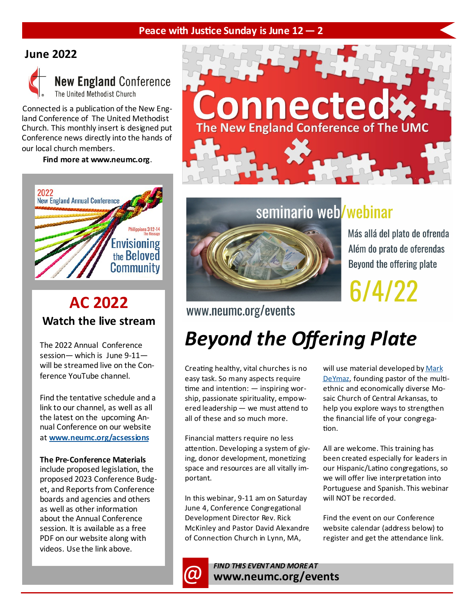#### **Peace with Justice Sunday is June 12 — 2**

### **June 2022**



### **New England Conference** The United Methodist Church

Connected is a publication of the New England Conference of The United Methodist Church. This monthly insert is designed put Conference news directly into the hands of our local church members.

**Find more at www.neumc.org**.



### **AC 2022 Watch the live stream**

The 2022 Annual Conference session— which is June 9-11 will be streamed live on the Conference YouTube channel.

Find the tentative schedule and a link to our channel, as well as all the latest on the upcoming Annual Conference on our website at **[www.neumc.org/acsessions](https://www.neumc.org/acsessions)**

#### **The Pre-Conference Materials**

include proposed legislation, the proposed 2023 Conference Budget, and Reports from Conference boards and agencies and others as well as other information about the Annual Conference session. It is available as a free PDF on our website along with videos. Use the link above.



### seminario web<mark>/webinar</mark>



Más allá del plato de ofrenda Além do prato de oferendas Beyond the offering plate

6/4/22

### www.neumc.org/events

## *Beyond the Offering Plate*

Creating healthy, vital churches is no easy task. So many aspects require time and intention: — inspiring worship, passionate spirituality, empowered leadership — we must attend to all of these and so much more.

Financial matters require no less attention. Developing a system of giving, donor development, monetizing space and resources are all vitally important.

In this webinar, 9-11 am on Saturday June 4, Conference Congregational Development Director Rev. Rick McKinley and Pastor David Alexandre of Connection Church in Lynn, MA,

will use material developed by Mark [DeYmaz,](https://www.markdeymaz.com/about.html) founding pastor of the multiethnic and economically diverse Mosaic Church of Central Arkansas, to help you explore ways to strengthen the financial life of your congregation.

All are welcome. This training has been created especially for leaders in our Hispanic/Latino congregations, so we will offer live interpretation into Portuguese and Spanish. This webinar will NOT be recorded.

Find the event on our Conference website calendar (address below) to register and get the attendance link.

*CO* FIND THIS EVENT AND MORE AT **www.neumc.org/events**